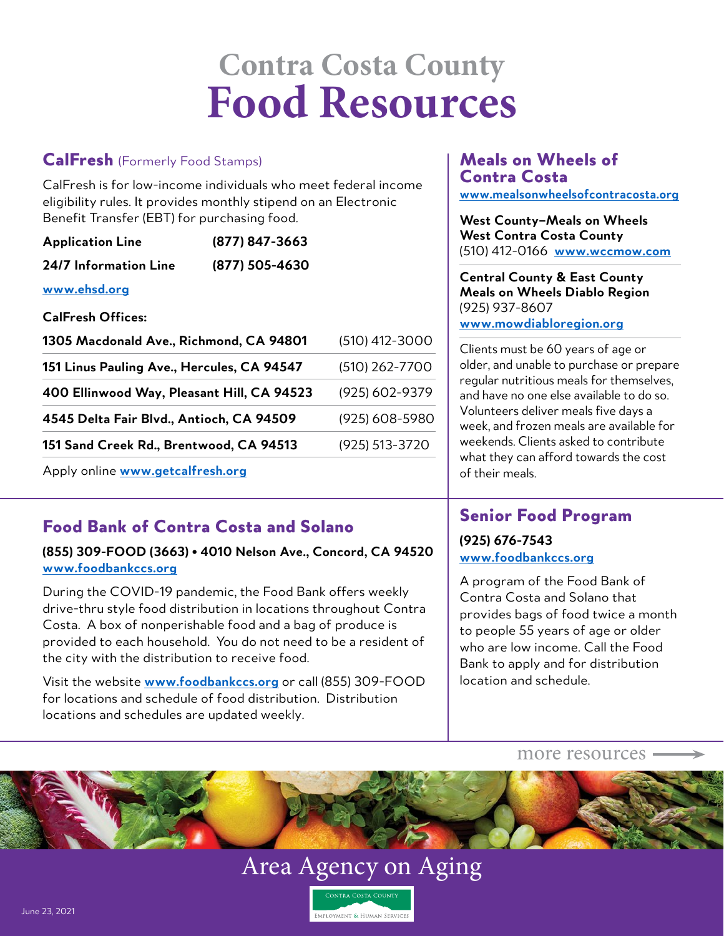# **Contra Costa County Food Resources**

### CalFresh (Formerly Food Stamps)

CalFresh is for low-income individuals who meet federal income eligibility rules. It provides monthly stipend on an Electronic Benefit Transfer (EBT) for purchasing food.

| <b>Application Line</b> | (877) 847-3663 |
|-------------------------|----------------|
| 24/7 Information Line   | (877) 505-4630 |

**[www.ehsd.org](http://www.ehsd.org)**

**CalFresh Offices:**

| 1305 Macdonald Ave., Richmond, CA 94801    | $(510)$ 412-3000 |
|--------------------------------------------|------------------|
| 151 Linus Pauling Ave., Hercules, CA 94547 | (510) 262-7700   |
| 400 Ellinwood Way, Pleasant Hill, CA 94523 | (925) 602-9379   |
| 4545 Delta Fair Blvd., Antioch, CA 94509   | (925) 608-5980   |
| 151 Sand Creek Rd., Brentwood, CA 94513    | (925) 513-3720   |
|                                            |                  |

Apply online **[www.getcalfresh.org](http://www.getcalfresh.org)**

## Food Bank of Contra Costa and Solano

#### **(855) 309-FOOD (3663) • 4010 Nelson Ave., Concord, CA 94520 [www.foodbankccs.org](http://www.foodbankccs.org)**

During the COVID-19 pandemic, the Food Bank offers weekly drive-thru style food distribution in locations throughout Contra Costa. A box of nonperishable food and a bag of produce is provided to each household. You do not need to be a resident of the city with the distribution to receive food.

Visit the website **[www.foodbankccs.org](http://www.foodbankccs.org)** or call (855) 309-FOOD for locations and schedule of food distribution. Distribution locations and schedules are updated weekly.

#### Meals on Wheels of Contra Costa **[www.mealsonwheelsofcontracosta.org](http://www.mealsonwheelsofcontracosta.org)**

**West County–Meals on Wheels West Contra Costa County** (510) 412-0166 **[www.wccmow.com](http://www.wccmow.com)**

**Central County & East County Meals on Wheels Diablo Region** (925) 937-8607

**[www.mowdiabloregion.org](http://www.mowdiabloregion.org)**

Clients must be 60 years of age or older, and unable to purchase or prepare regular nutritious meals for themselves, and have no one else available to do so. Volunteers deliver meals five days a week, and frozen meals are available for weekends. Clients asked to contribute what they can afford towards the cost of their meals.

## Senior Food Program

#### **(925) 676-7543 [www.foodbankccs.org](http://www.foodbankccs.org)**

A program of the Food Bank of Contra Costa and Solano that provides bags of food twice a month to people 55 years of age or older who are low income. Call the Food Bank to apply and for distribution location and schedule.

more resources